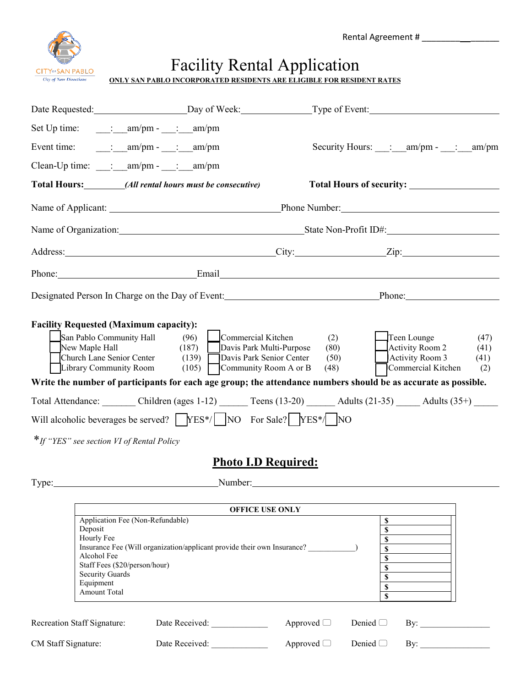Rental Agreement # \_\_\_\_\_\_\_\_ \_\_\_\_\_\_



## Facility Rental Application

|                                                                       | . |  |
|-----------------------------------------------------------------------|---|--|
| ONLY SAN PABLO INCORPORATED RESIDENTS ARE ELIGIBLE FOR RESIDENT RATES |   |  |
|                                                                       |   |  |

|       | Set Up time: $\qquad \qquad : \qquad \text{am/pm -} \qquad : \qquad \text{am/pm}$                                                                                                                                                                                                                                                                                                                                                                                                                        |                                                                                                                                                                                                                                                                                                                                                                |  |  |  |
|-------|----------------------------------------------------------------------------------------------------------------------------------------------------------------------------------------------------------------------------------------------------------------------------------------------------------------------------------------------------------------------------------------------------------------------------------------------------------------------------------------------------------|----------------------------------------------------------------------------------------------------------------------------------------------------------------------------------------------------------------------------------------------------------------------------------------------------------------------------------------------------------------|--|--|--|
|       | Event time: $\qquad \qquad$ : $\qquad \text{am/pm -} \qquad$ : $\qquad \text{am/pm}$                                                                                                                                                                                                                                                                                                                                                                                                                     | Security Hours: : am/pm - : am/pm                                                                                                                                                                                                                                                                                                                              |  |  |  |
|       | Clean-Up time: __: __ am/pm - _: _ am/pm                                                                                                                                                                                                                                                                                                                                                                                                                                                                 |                                                                                                                                                                                                                                                                                                                                                                |  |  |  |
|       | Total Hours: _________(All rental hours must be consecutive)                                                                                                                                                                                                                                                                                                                                                                                                                                             |                                                                                                                                                                                                                                                                                                                                                                |  |  |  |
|       |                                                                                                                                                                                                                                                                                                                                                                                                                                                                                                          | Name of Applicant: Phone Number:                                                                                                                                                                                                                                                                                                                               |  |  |  |
|       |                                                                                                                                                                                                                                                                                                                                                                                                                                                                                                          | Name of Organization: State Non-Profit ID#:                                                                                                                                                                                                                                                                                                                    |  |  |  |
|       |                                                                                                                                                                                                                                                                                                                                                                                                                                                                                                          | Address: <u>City:</u> City: <u>City:</u> City: <u>City:</u> City: <u>City:</u> City: <u>City:</u> City: <u>City:</u> City: <u>City:</u> City: <u>City:</u> City: <u>City:</u> City: <u>City:</u> City: <u>City:</u> City: <u>City: City: City: City: City: City: City: City: City: City</u>                                                                    |  |  |  |
|       |                                                                                                                                                                                                                                                                                                                                                                                                                                                                                                          | Phone: Email Email Email Email Email Email Email Email Email Email Email Email Email Email Email Email Email Email Email Email Email Email Email Email Email Email Email Email Email Email Email Email Email Email Email Email                                                                                                                                 |  |  |  |
|       |                                                                                                                                                                                                                                                                                                                                                                                                                                                                                                          | Designated Person In Charge on the Day of Event: Phone: Phone: Phone:                                                                                                                                                                                                                                                                                          |  |  |  |
| Type: | <b>Facility Requested (Maximum capacity):</b><br>San Pablo Community Hall (96)<br>Commercial Kitchen<br>New Maple Hall<br>(187)<br>Davis Park Multi-Purpose<br>Church Lane Senior Center<br>Davis Park Senior Center<br>(139)<br>Library Community Room $(105)$ Community Room A or B<br>Will alcoholic beverages be served? $\sqrt{\text{YES*}}/\sqrt{\text{NO}}$ For Sale? $\sqrt{\text{YES*}}/\sqrt{\text{NO}}$<br>*If "YES" see section VI of Rental Policy<br><b>Photo I.D Required:</b><br>Number: | Teen Lounge<br>(2)<br>(47)<br>Activity Room 2<br>(80)<br>(41)<br>(50)<br>Activity Room 3<br>(41)<br>Commercial Kitchen<br>(48)<br>(2)<br>Write the number of participants for each age group; the attendance numbers should be as accurate as possible.<br>Total Attendance: Children (ages 1-12) Teens (13-20) ______ Adults (21-35) _____ Adults (35+) _____ |  |  |  |
|       |                                                                                                                                                                                                                                                                                                                                                                                                                                                                                                          |                                                                                                                                                                                                                                                                                                                                                                |  |  |  |
|       | <b>OFFICE USE ONLY</b><br>Application Fee (Non-Refundable)                                                                                                                                                                                                                                                                                                                                                                                                                                               | \$                                                                                                                                                                                                                                                                                                                                                             |  |  |  |
|       | Deposit<br>Hourly Fee<br>Insurance Fee (Will organization/applicant provide their own Insurance?<br>Alcohol Fee<br>Staff Fees (\$20/person/hour)<br><b>Security Guards</b><br>Equipment<br>Amount Total                                                                                                                                                                                                                                                                                                  | $\mathbb S$<br>\$<br>\$<br>\$<br>\$<br>\$<br>\$<br>$\mathbf S$                                                                                                                                                                                                                                                                                                 |  |  |  |
|       | Recreation Staff Signature:<br>Date Received:                                                                                                                                                                                                                                                                                                                                                                                                                                                            | Approved $\Box$<br>Denied $\Box$<br>By:                                                                                                                                                                                                                                                                                                                        |  |  |  |

CM Staff Signature: Date Received: \_\_\_\_\_\_\_\_\_\_\_\_\_ Approved Denied By: \_\_\_\_\_\_\_\_\_\_\_\_\_\_\_\_